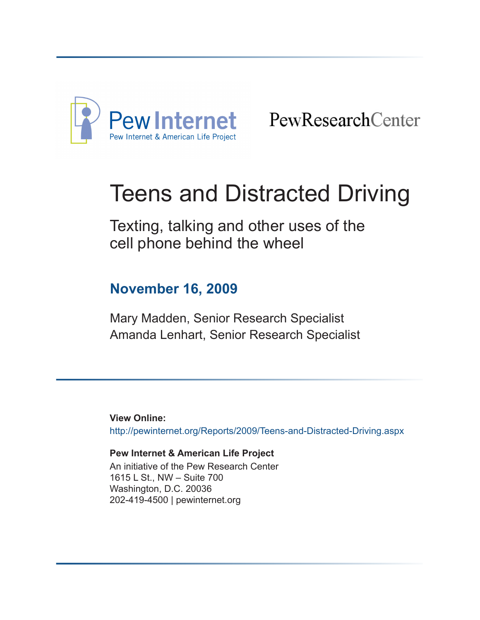

PewResearchCenter

# Teens and Distracted Driving

Texting, talking and other uses of the cell phone behind the wheel

# **November 16, 2009**

[Mary Madden](http://pewinternet.org/Experts/Mary-Madden.aspx), Senior Research Specialist [Amanda Lenhart,](http://pewinternet.org/Experts/Amanda-Lenhart.aspx) Senior Research Specialist

**View Online:** <http://pewinternet.org/Reports/2009/Teens-and-Distracted-Driving.aspx>

#### **Pew Internet & American Life Project** An initiative of the [Pew Research Center](http://pewresearch.org/) 1615 L St., NW – Suite 700 Washington, D.C. 20036 202-419-4500 | [pewinternet.org](http://pewinternet.org/)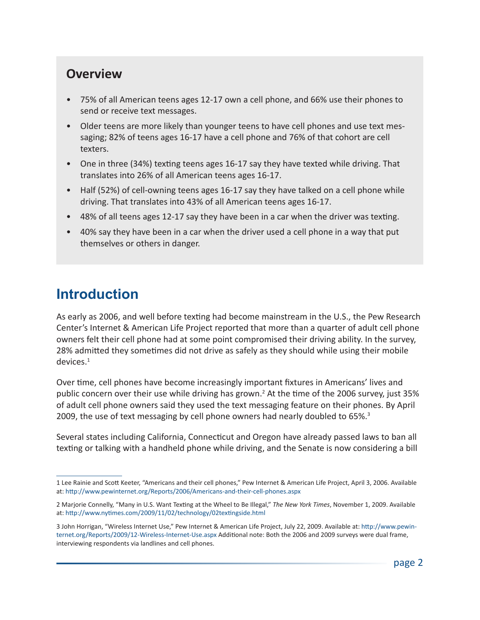### **Overview**

- 75% of all American teens ages 12-17 own a cell phone, and 66% use their phones to send or receive text messages.
- Older teens are more likely than younger teens to have cell phones and use text messaging; 82% of teens ages 16-17 have a cell phone and 76% of that cohort are cell texters.
- One in three (34%) texting teens ages 16-17 say they have texted while driving. That translates into 26% of all American teens ages 16-17.
- Half (52%) of cell-owning teens ages 16-17 say they have talked on a cell phone while driving. That translates into 43% of all American teens ages 16-17.
- 48% of all teens ages 12-17 say they have been in a car when the driver was texting.
- 40% say they have been in a car when the driver used a cell phone in a way that put themselves or others in danger.

# **Introduction**

As early as 2006, and well before texting had become mainstream in the U.S., the Pew Research Center's Internet & American Life Project reported that more than a quarter of adult cell phone owners felt their cell phone had at some point compromised their driving ability. In the survey, 28% admitted they sometimes did not drive as safely as they should while using their mobile devices.1

Over time, cell phones have become increasingly important fixtures in Americans' lives and public concern over their use while driving has grown.<sup>2</sup> At the time of the 2006 survey, just 35% of adult cell phone owners said they used the text messaging feature on their phones. By April 2009, the use of text messaging by cell phone owners had nearly doubled to 65%.<sup>3</sup>

Several states including California, Connecticut and Oregon have already passed laws to ban all texting or talking with a handheld phone while driving, and the Senate is now considering a bill

<sup>1</sup> Lee Rainie and Scott Keeter, "Americans and their cell phones," Pew Internet & American Life Project, April 3, 2006. Available at: <http://www.pewinternet.org/Reports/2006/Americans-and-their-cell-phones.aspx>

<sup>2</sup> Marjorie Connelly, "Many in U.S. Want Texting at the Wheel to Be Illegal," *The New York Times*, November 1, 2009. Available at: <http://www.nytimes.com/2009/11/02/technology/02textingside.html>

<sup>3</sup> John Horrigan, "Wireless Internet Use," Pew Internet & American Life Project, July 22, 2009. Available at: [http://www.pewin](http://www.pewinternet.org/Reports/2009/12-Wireless-Internet-Use.aspx)[ternet.org/Reports/2009/12-Wireless-Internet-Use.aspx](http://www.pewinternet.org/Reports/2009/12-Wireless-Internet-Use.aspx) Additional note: Both the 2006 and 2009 surveys were dual frame, interviewing respondents via landlines and cell phones.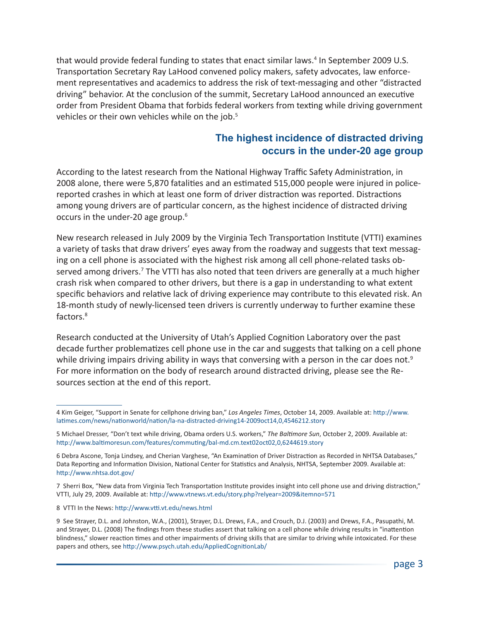that would provide federal funding to states that enact similar laws.<sup>4</sup> In September 2009 U.S. Transportation Secretary Ray LaHood convened policy makers, safety advocates, law enforcement representatives and academics to address the risk of text-messaging and other "distracted driving" behavior. At the conclusion of the summit, Secretary LaHood announced an executive order from President Obama that forbids federal workers from texting while driving government vehicles or their own vehicles while on the job.<sup>5</sup>

#### **The highest incidence of distracted driving occurs in the under-20 age group**

According to the latest research from the National Highway Traffic Safety Administration, in 2008 alone, there were 5,870 fatalities and an estimated 515,000 people were injured in policereported crashes in which at least one form of driver distraction was reported. Distractions among young drivers are of particular concern, as the highest incidence of distracted driving occurs in the under-20 age group.<sup>6</sup>

New research released in July 2009 by the Virginia Tech Transportation Institute (VTTI) examines a variety of tasks that draw drivers' eyes away from the roadway and suggests that text messaging on a cell phone is associated with the highest risk among all cell phone-related tasks observed among drivers.<sup>7</sup> The VTTI has also noted that teen drivers are generally at a much higher crash risk when compared to other drivers, but there is a gap in understanding to what extent specific behaviors and relative lack of driving experience may contribute to this elevated risk. An 18-month study of newly-licensed teen drivers is currently underway to further examine these factors.<sup>8</sup>

Research conducted at the University of Utah's Applied Cognition Laboratory over the past decade further problematizes cell phone use in the car and suggests that talking on a cell phone while driving impairs driving ability in ways that conversing with a person in the car does not.<sup>9</sup> For more information on the body of research around distracted driving, please see the Resources section at the end of this report.

<sup>4</sup> Kim Geiger, "Support in Senate for cellphone driving ban," *Los Angeles Times*, October 14, 2009. Available at: [http://www.](http://www.latimes.com/news/nationworld/nation/la-na-distracted-driving14-2009oct14,0,4546212.story) [latimes.com/news/nationworld/nation/la-na-distracted-driving14-2009oct14,0,4546212.story](http://www.latimes.com/news/nationworld/nation/la-na-distracted-driving14-2009oct14,0,4546212.story)

<sup>5</sup> Michael Dresser, "Don't text while driving, Obama orders U.S. workers," *The Baltimore Sun*, October 2, 2009. Available at: <http://www.baltimoresun.com/features/commuting/bal-md.cm.text02oct02,0,6244619.story>

<sup>6</sup> Debra Ascone, Tonja Lindsey, and Cherian Varghese, "An Examination of Driver Distraction as Recorded in NHTSA Databases," Data Reporting and Information Division, National Center for Statistics and Analysis, NHTSA, September 2009. Available at: <http://www.nhtsa.dot.gov/>

<sup>7</sup> Sherri Box, "New data from Virginia Tech Transportation Institute provides insight into cell phone use and driving distraction," VTTI, July 29, 2009. Available at: <http://www.vtnews.vt.edu/story.php?relyear=2009&itemno=571>

<sup>8</sup> VTTI In the News: <http://www.vtti.vt.edu/news.html>

<sup>9</sup> See Strayer, D.L. and Johnston, W.A., (2001), Strayer, D.L. Drews, F.A., and Crouch, D.J. (2003) and Drews, F.A., Pasupathi, M. and Strayer, D.L. (2008) The findings from these studies assert that talking on a cell phone while driving results in "inattention blindness," slower reaction times and other impairments of driving skills that are similar to driving while intoxicated. For these papers and others, see <http://www.psych.utah.edu/AppliedCognitionLab/>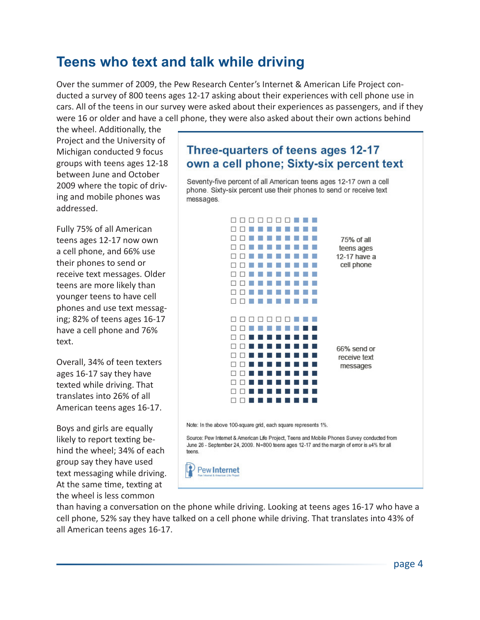### **Teens who text and talk while driving**

Over the summer of 2009, the Pew Research Center's Internet & American Life Project conducted a survey of 800 teens ages 12-17 asking about their experiences with cell phone use in cars. All of the teens in our survey were asked about their experiences as passengers, and if they were 16 or older and have a cell phone, they were also asked about their own actions behind

the wheel. Additionally, the Project and the University of Michigan conducted 9 focus groups with teens ages 12-18 between June and October 2009 where the topic of driving and mobile phones was addressed.

Fully 75% of all American teens ages 12-17 now own a cell phone, and 66% use their phones to send or receive text messages. Older teens are more likely than younger teens to have cell phones and use text messaging; 82% of teens ages 16-17 have a cell phone and 76% text.

Overall, 34% of teen texters ages 16-17 say they have texted while driving. That translates into 26% of all American teens ages 16-17.

Boys and girls are equally likely to report texting behind the wheel; 34% of each group say they have used text messaging while driving. At the same time, texting at the wheel is less common

### Three-quarters of teens ages 12-17 own a cell phone; Sixty-six percent text

Seventy-five percent of all American teens ages 12-17 own a cell phone. Sixty-six percent use their phones to send or receive text messages.



than having a conversation on the phone while driving. Looking at teens ages 16-17 who have a cell phone, 52% say they have talked on a cell phone while driving. That translates into 43% of all American teens ages 16-17.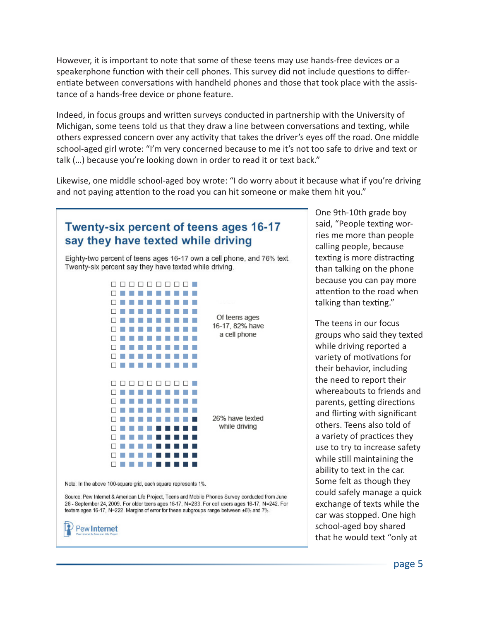However, it is important to note that some of these teens may use hands-free devices or a speakerphone function with their cell phones. This survey did not include questions to differentiate between conversations with handheld phones and those that took place with the assistance of a hands-free device or phone feature.

Indeed, in focus groups and written surveys conducted in partnership with the University of Michigan, some teens told us that they draw a line between conversations and texting, while others expressed concern over any activity that takes the driver's eyes off the road. One middle school-aged girl wrote: "I'm very concerned because to me it's not too safe to drive and text or talk (…) because you're looking down in order to read it or text back."

Likewise, one middle school-aged boy wrote: "I do worry about it because what if you're driving and not paying attention to the road you can hit someone or make them hit you."



One 9th-10th grade boy said, "People texting worries me more than people calling people, because texting is more distracting than talking on the phone because you can pay more attention to the road when talking than texting."

The teens in our focus groups who said they texted while driving reported a variety of motivations for their behavior, including the need to report their whereabouts to friends and parents, getting directions and flirting with significant others. Teens also told of a variety of practices they use to try to increase safety while still maintaining the ability to text in the car. Some felt as though they could safely manage a quick exchange of texts while the car was stopped. One high school-aged boy shared that he would text "only at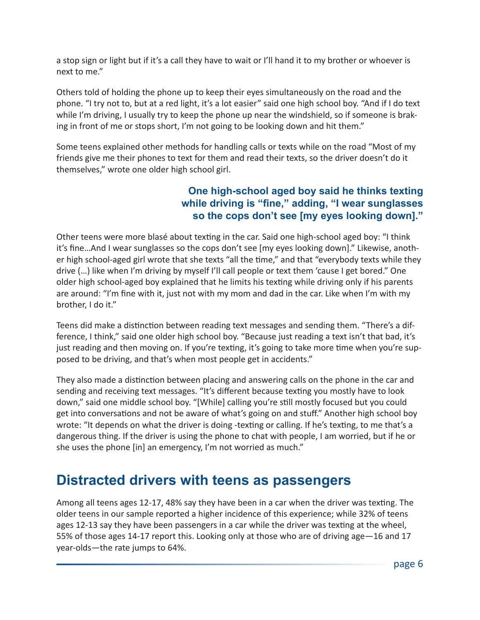a stop sign or light but if it's a call they have to wait or I'll hand it to my brother or whoever is next to me."

Others told of holding the phone up to keep their eyes simultaneously on the road and the phone. "I try not to, but at a red light, it's a lot easier" said one high school boy. "And if I do text while I'm driving, I usually try to keep the phone up near the windshield, so if someone is braking in front of me or stops short, I'm not going to be looking down and hit them."

Some teens explained other methods for handling calls or texts while on the road "Most of my friends give me their phones to text for them and read their texts, so the driver doesn't do it themselves," wrote one older high school girl.

#### **One high-school aged boy said he thinks texting while driving is "fine," adding, "I wear sunglasses so the cops don't see [my eyes looking down]."**

Other teens were more blasé about texting in the car. Said one high-school aged boy: "I think it's fine…And I wear sunglasses so the cops don't see [my eyes looking down]." Likewise, another high school-aged girl wrote that she texts "all the time," and that "everybody texts while they drive (…) like when I'm driving by myself I'll call people or text them 'cause I get bored." One older high school-aged boy explained that he limits his texting while driving only if his parents are around: "I'm fine with it, just not with my mom and dad in the car. Like when I'm with my brother, I do it."

Teens did make a distinction between reading text messages and sending them. "There's a difference, I think," said one older high school boy. "Because just reading a text isn't that bad, it's just reading and then moving on. If you're texting, it's going to take more time when you're supposed to be driving, and that's when most people get in accidents."

They also made a distinction between placing and answering calls on the phone in the car and sending and receiving text messages. "It's different because texting you mostly have to look down," said one middle school boy. "[While] calling you're still mostly focused but you could get into conversations and not be aware of what's going on and stuff." Another high school boy wrote: "It depends on what the driver is doing -texting or calling. If he's texting, to me that's a dangerous thing. If the driver is using the phone to chat with people, I am worried, but if he or she uses the phone [in] an emergency, I'm not worried as much."

### **Distracted drivers with teens as passengers**

Among all teens ages 12-17, 48% say they have been in a car when the driver was texting. The older teens in our sample reported a higher incidence of this experience; while 32% of teens ages 12-13 say they have been passengers in a car while the driver was texting at the wheel, 55% of those ages 14-17 report this. Looking only at those who are of driving age—16 and 17 year-olds—the rate jumps to 64%.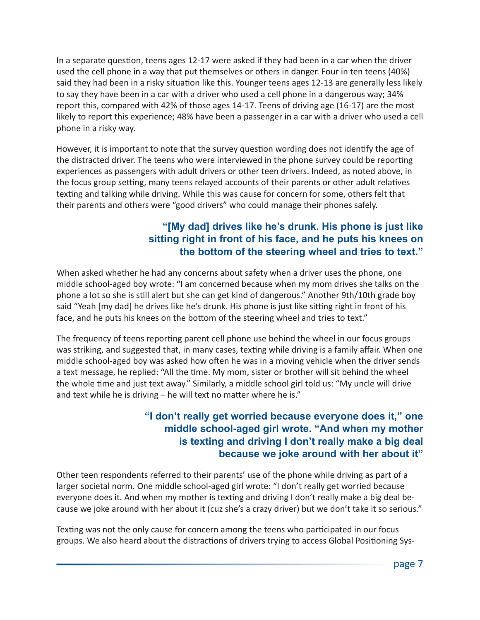In a separate question, teens ages 12-17 were asked if they had been in a car when the driver used the cell phone in a way that put themselves or others in danger. Four in ten teens (40%) said they had been in a risky situation like this. Younger teens ages 12-13 are generally less likely to say they have been in a car with a driver who used a cell phone in a dangerous way; 34% report this, compared with 42% of those ages 14-17. Teens of driving age (16-17) are the most likely to report this experience; 48% have been a passenger in a car with a driver who used a cell phone in a risky way.

However, it is important to note that the survey question wording does not identify the age of the distracted driver. The teens who were interviewed in the phone survey could be reporting experiences as passengers with adult drivers or other teen drivers. Indeed, as noted above, in the focus group setting, many teens relayed accounts of their parents or other adult relatives texting and talking while driving. While this was cause for concern for some, others felt that their parents and others were "good drivers" who could manage their phones safely.

#### **"[My dad] drives like he's drunk. His phone is just like sitting right in front of his face, and he puts his knees on the bottom of the steering wheel and tries to text."**

When asked whether he had any concerns about safety when a driver uses the phone, one middle school-aged boy wrote: "I am concerned because when my mom drives she talks on the phone a lot so she is still alert but she can get kind of dangerous." Another 9th/10th grade boy said "Yeah [my dad] he drives like he's drunk. His phone is just like sitting right in front of his face, and he puts his knees on the bottom of the steering wheel and tries to text."

The frequency of teens reporting parent cell phone use behind the wheel in our focus groups was striking, and suggested that, in many cases, texting while driving is a family affair. When one middle school-aged boy was asked how often he was in a moving vehicle when the driver sends a text message, he replied: "All the time. My mom, sister or brother will sit behind the wheel the whole time and just text away." Similarly, a middle school girl told us: "My uncle will drive and text while he is driving – he will text no matter where he is."

#### **"I don't really get worried because everyone does it," one middle school-aged girl wrote. "And when my mother is texting and driving I don't really make a big deal because we joke around with her about it"**

Other teen respondents referred to their parents' use of the phone while driving as part of a larger societal norm. One middle school-aged girl wrote: "I don't really get worried because everyone does it. And when my mother is texting and driving I don't really make a big deal because we joke around with her about it (cuz she's a crazy driver) but we don't take it so serious."

Texting was not the only cause for concern among the teens who participated in our focus groups. We also heard about the distractions of drivers trying to access Global Positioning Sys-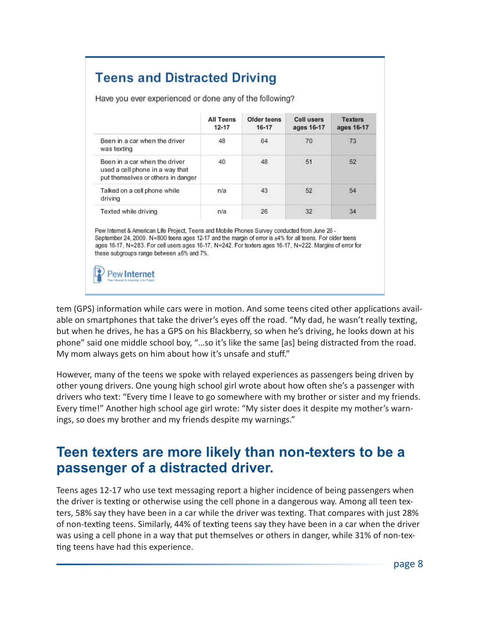### **Teens and Distracted Driving**

|                                                                                                        | <b>All Teens</b><br>$12 - 17$ | Older teens<br>$16 - 17$ | <b>Cell users</b><br>ages 16-17 | <b>Texters</b><br>ages 16-17 |
|--------------------------------------------------------------------------------------------------------|-------------------------------|--------------------------|---------------------------------|------------------------------|
| Been in a car when the driver<br>was texting                                                           | 48                            | 64                       | 70                              | 73                           |
| Been in a car when the driver<br>used a cell phone in a way that<br>put themselves or others in danger | 40                            | 48                       | 51                              | 52                           |
| Talked on a cell phone while<br>driving                                                                | n/a                           | 43                       | 52                              | 54                           |
| Texted while driving                                                                                   | n/a                           | 26                       | 32                              | 34                           |

Have you ever experienced or done any of the following?

Pew Internet & American Life Project, Teens and Mobile Phones Survey conducted from June 26 -September 24, 2009. N=800 teens ages 12-17 and the margin of error is ±4% for all teens. For older teens ages 16-17, N=283. For cell users ages 16-17, N=242. For texters ages 16-17, N=222. Margins of error for these subgroups range between ±6% and 7%.

Pew **Internet** 

tem (GPS) information while cars were in motion. And some teens cited other applications available on smartphones that take the driver's eyes off the road. "My dad, he wasn't really texting, but when he drives, he has a GPS on his Blackberry, so when he's driving, he looks down at his phone" said one middle school boy, "…so it's like the same [as] being distracted from the road. My mom always gets on him about how it's unsafe and stuff."

However, many of the teens we spoke with relayed experiences as passengers being driven by other young drivers. One young high school girl wrote about how often she's a passenger with drivers who text: "Every time I leave to go somewhere with my brother or sister and my friends. Every time!" Another high school age girl wrote: "My sister does it despite my mother's warnings, so does my brother and my friends despite my warnings."

### **Teen texters are more likely than non-texters to be a passenger of a distracted driver.**

Teens ages 12-17 who use text messaging report a higher incidence of being passengers when the driver is texting or otherwise using the cell phone in a dangerous way. Among all teen texters, 58% say they have been in a car while the driver was texting. That compares with just 28% of non-texting teens. Similarly, 44% of texting teens say they have been in a car when the driver was using a cell phone in a way that put themselves or others in danger, while 31% of non-texting teens have had this experience.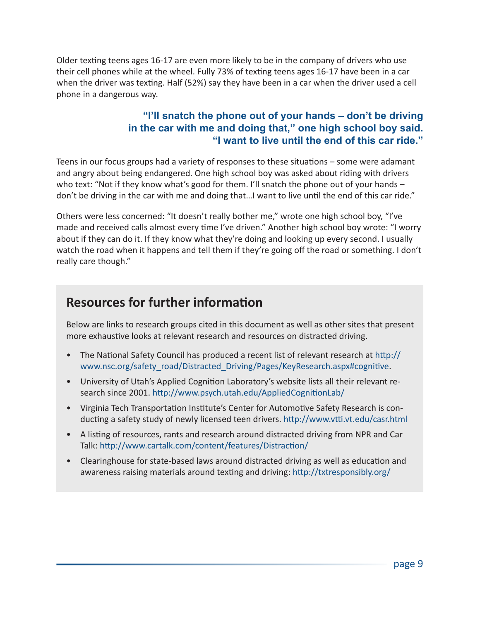Older texting teens ages 16-17 are even more likely to be in the company of drivers who use their cell phones while at the wheel. Fully 73% of texting teens ages 16-17 have been in a car when the driver was texting. Half (52%) say they have been in a car when the driver used a cell phone in a dangerous way.

#### **"I'll snatch the phone out of your hands – don't be driving in the car with me and doing that," one high school boy said. "I want to live until the end of this car ride."**

Teens in our focus groups had a variety of responses to these situations – some were adamant and angry about being endangered. One high school boy was asked about riding with drivers who text: "Not if they know what's good for them. I'll snatch the phone out of your hands – don't be driving in the car with me and doing that...I want to live until the end of this car ride."

Others were less concerned: "It doesn't really bother me," wrote one high school boy, "I've made and received calls almost every time I've driven." Another high school boy wrote: "I worry about if they can do it. If they know what they're doing and looking up every second. I usually watch the road when it happens and tell them if they're going off the road or something. I don't really care though."

### **Resources for further information**

Below are links to research groups cited in this document as well as other sites that present more exhaustive looks at relevant research and resources on distracted driving.

- The National Safety Council has produced a recent list of relevant research at [http://](http://www.nsc.org/safety_road/Distracted_Driving/Pages/KeyResearch.aspx#cognitive) [www.nsc.org/safety\\_road/Distracted\\_Driving/Pages/KeyResearch.aspx#cognitive](http://www.nsc.org/safety_road/Distracted_Driving/Pages/KeyResearch.aspx#cognitive).
- University of Utah's Applied Cognition Laboratory's website lists all their relevant research since 2001. <http://www.psych.utah.edu/AppliedCognitionLab/>
- Virginia Tech Transportation Institute's Center for Automotive Safety Research is conducting a safety study of newly licensed teen drivers. <http://www.vtti.vt.edu/casr.html>
- A listing of resources, rants and research around distracted driving from NPR and Car Talk: <http://www.cartalk.com/content/features/Distraction/>
- Clearinghouse for state-based laws around distracted driving as well as education and awareness raising materials around texting and driving: [http://txtresponsibly.org/](http://txtresponsibly.org/ )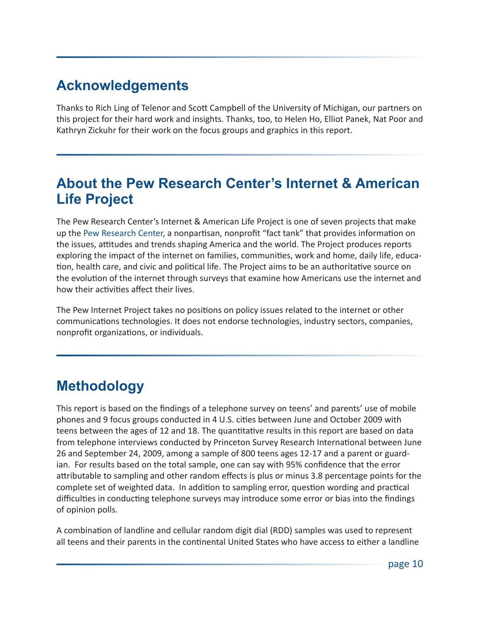## **Acknowledgements**

Thanks to Rich Ling of Telenor and Scott Campbell of the University of Michigan, our partners on this project for their hard work and insights. Thanks, too, to Helen Ho, Elliot Panek, Nat Poor and Kathryn Zickuhr for their work on the focus groups and graphics in this report.

### **About the Pew Research Center's Internet & American Life Project**

The Pew Research Center's Internet & American Life Project is one of seven projects that make up the Pew [Research](http://pewresearch.org/) Center, a nonpartisan, nonprofit "fact tank" that provides information on the issues, attitudes and trends shaping America and the world. The Project produces reports exploring the impact of the internet on families, communities, work and home, daily life, education, health care, and civic and political life. The Project aims to be an authoritative source on the evolution of the internet through surveys that examine how Americans use the internet and how their activities affect their lives.

The Pew Internet Project takes no positions on policy issues related to the internet or other communications technologies. It does not endorse technologies, industry sectors, companies, nonprofit organizations, or individuals.

# **Methodology**

This report is based on the findings of a telephone survey on teens' and parents' use of mobile phones and 9 focus groups conducted in 4 U.S. cities between June and October 2009 with teens between the ages of 12 and 18. The quantitative results in this report are based on data from telephone interviews conducted by Princeton Survey Research International between June 26 and September 24, 2009, among a sample of 800 teens ages 12-17 and a parent or guardian. For results based on the total sample, one can say with 95% confidence that the error attributable to sampling and other random effects is plus or minus 3.8 percentage points for the complete set of weighted data. In addition to sampling error, question wording and practical difficulties in conducting telephone surveys may introduce some error or bias into the findings of opinion polls.

A combination of landline and cellular random digit dial (RDD) samples was used to represent all teens and their parents in the continental United States who have access to either a landline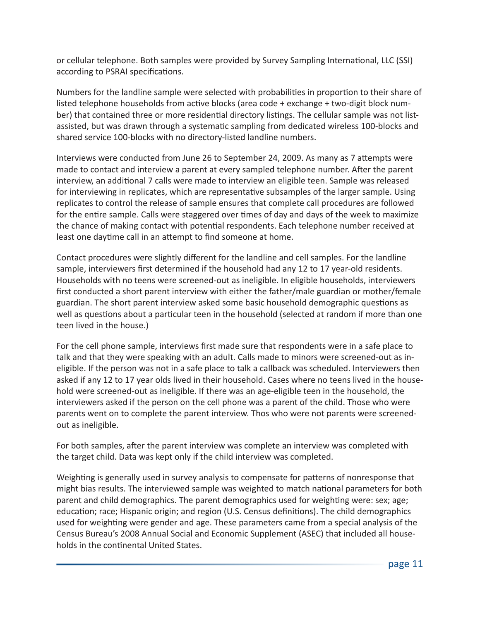or cellular telephone. Both samples were provided by Survey Sampling International, LLC (SSI) according to PSRAI specifications.

Numbers for the landline sample were selected with probabilities in proportion to their share of listed telephone households from active blocks (area code + exchange + two-digit block number) that contained three or more residential directory listings. The cellular sample was not listassisted, but was drawn through a systematic sampling from dedicated wireless 100-blocks and shared service 100-blocks with no directory-listed landline numbers.

Interviews were conducted from June 26 to September 24, 2009. As many as 7 attempts were made to contact and interview a parent at every sampled telephone number. After the parent interview, an additional 7 calls were made to interview an eligible teen. Sample was released for interviewing in replicates, which are representative subsamples of the larger sample. Using replicates to control the release of sample ensures that complete call procedures are followed for the entire sample. Calls were staggered over times of day and days of the week to maximize the chance of making contact with potential respondents. Each telephone number received at least one daytime call in an attempt to find someone at home.

Contact procedures were slightly different for the landline and cell samples. For the landline sample, interviewers first determined if the household had any 12 to 17 year-old residents. Households with no teens were screened-out as ineligible. In eligible households, interviewers first conducted a short parent interview with either the father/male guardian or mother/female guardian. The short parent interview asked some basic household demographic questions as well as questions about a particular teen in the household (selected at random if more than one teen lived in the house.)

For the cell phone sample, interviews first made sure that respondents were in a safe place to talk and that they were speaking with an adult. Calls made to minors were screened-out as ineligible. If the person was not in a safe place to talk a callback was scheduled. Interviewers then asked if any 12 to 17 year olds lived in their household. Cases where no teens lived in the household were screened-out as ineligible. If there was an age-eligible teen in the household, the interviewers asked if the person on the cell phone was a parent of the child. Those who were parents went on to complete the parent interview. Thos who were not parents were screenedout as ineligible.

For both samples, after the parent interview was complete an interview was completed with the target child. Data was kept only if the child interview was completed.

Weighting is generally used in survey analysis to compensate for patterns of nonresponse that might bias results. The interviewed sample was weighted to match national parameters for both parent and child demographics. The parent demographics used for weighting were: sex; age; education; race; Hispanic origin; and region (U.S. Census definitions). The child demographics used for weighting were gender and age. These parameters came from a special analysis of the Census Bureau's 2008 Annual Social and Economic Supplement (ASEC) that included all households in the continental United States.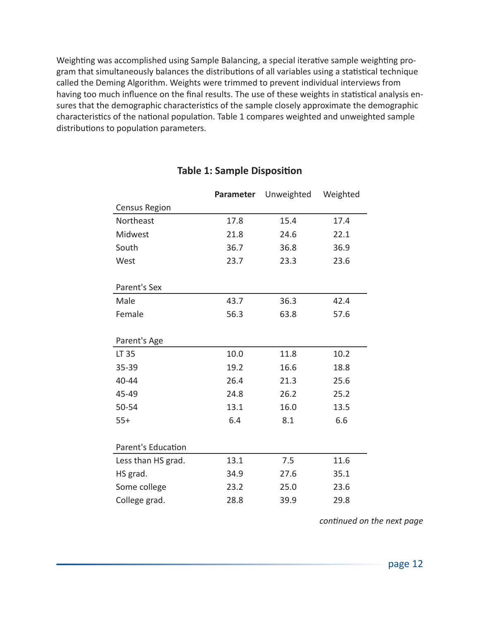Weighting was accomplished using Sample Balancing, a special iterative sample weighting program that simultaneously balances the distributions of all variables using a statistical technique called the Deming Algorithm. Weights were trimmed to prevent individual interviews from having too much influence on the final results. The use of these weights in statistical analysis ensures that the demographic characteristics of the sample closely approximate the demographic characteristics of the national population. Table 1 compares weighted and unweighted sample distributions to population parameters.

|                    | Parameter | Unweighted | Weighted |
|--------------------|-----------|------------|----------|
| Census Region      |           |            |          |
| Northeast          | 17.8      | 15.4       | 17.4     |
| Midwest            | 21.8      | 24.6       | 22.1     |
| South              | 36.7      | 36.8       | 36.9     |
| West               | 23.7      | 23.3       | 23.6     |
| Parent's Sex       |           |            |          |
| Male               | 43.7      | 36.3       | 42.4     |
| Female             | 56.3      | 63.8       | 57.6     |
| Parent's Age       |           |            |          |
| LT 35              | 10.0      | 11.8       | 10.2     |
| 35-39              | 19.2      | 16.6       | 18.8     |
| 40-44              | 26.4      | 21.3       | 25.6     |
| 45-49              | 24.8      | 26.2       | 25.2     |
| 50-54              | 13.1      | 16.0       | 13.5     |
| $55+$              | 6.4       | 8.1        | 6.6      |
| Parent's Education |           |            |          |
| Less than HS grad. | 13.1      | 7.5        | 11.6     |
| HS grad.           | 34.9      | 27.6       | 35.1     |
| Some college       | 23.2      | 25.0       | 23.6     |
| College grad.      | 28.8      | 39.9       | 29.8     |

#### **Table 1: Sample Disposition**

*continued on the next page*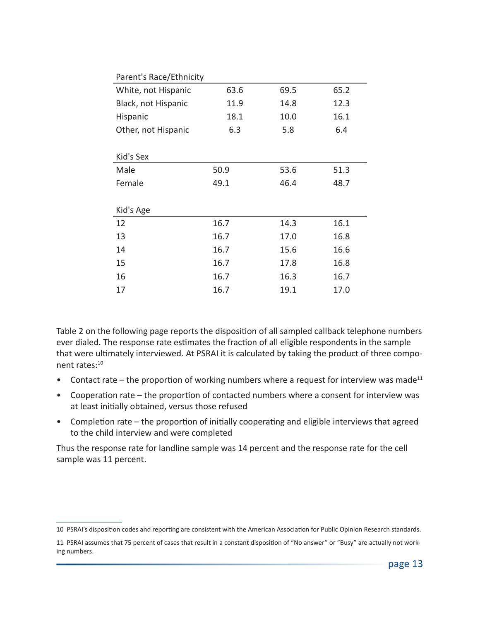| Parent's Race/Ethnicity |      |      |      |  |
|-------------------------|------|------|------|--|
| White, not Hispanic     | 63.6 | 69.5 | 65.2 |  |
| Black, not Hispanic     | 11.9 | 14.8 | 12.3 |  |
| Hispanic                | 18.1 | 10.0 | 16.1 |  |
| Other, not Hispanic     | 6.3  | 5.8  | 6.4  |  |
|                         |      |      |      |  |
| Kid's Sex               |      |      |      |  |
| Male                    | 50.9 | 53.6 | 51.3 |  |
| Female                  | 49.1 | 46.4 | 48.7 |  |
|                         |      |      |      |  |
| Kid's Age               |      |      |      |  |
| 12                      | 16.7 | 14.3 | 16.1 |  |
| 13                      | 16.7 | 17.0 | 16.8 |  |
| 14                      | 16.7 | 15.6 | 16.6 |  |
| 15                      | 16.7 | 17.8 | 16.8 |  |
| 16                      | 16.7 | 16.3 | 16.7 |  |
| 17                      | 16.7 | 19.1 | 17.0 |  |

Table 2 on the following page reports the disposition of all sampled callback telephone numbers ever dialed. The response rate estimates the fraction of all eligible respondents in the sample that were ultimately interviewed. At PSRAI it is calculated by taking the product of three component rates:10

- Contact rate the proportion of working numbers where a request for interview was made<sup>11</sup>
- Cooperation rate the proportion of contacted numbers where a consent for interview was at least initially obtained, versus those refused
- Completion rate the proportion of initially cooperating and eligible interviews that agreed to the child interview and were completed

Thus the response rate for landline sample was 14 percent and the response rate for the cell sample was 11 percent.

<sup>10</sup> PSRAI's disposition codes and reporting are consistent with the American Association for Public Opinion Research standards.

<sup>11</sup> PSRAI assumes that 75 percent of cases that result in a constant disposition of "No answer" or "Busy" are actually not working numbers.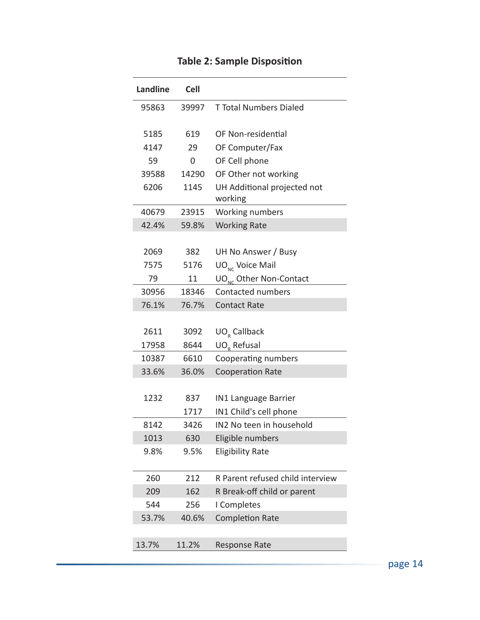| <b>Landline</b> | <b>Cell</b> |                                        |
|-----------------|-------------|----------------------------------------|
| 95863           | 39997       | <b>T Total Numbers Dialed</b>          |
| 5185            | 619         | OF Non-residential                     |
| 4147            | 29          | OF Computer/Fax                        |
| 59              | $\Omega$    | OF Cell phone                          |
| 39588           | 14290       | OF Other not working                   |
| 6206            | 1145        | UH Additional projected not<br>working |
| 40679           | 23915       | Working numbers                        |
| 42.4%           | 59.8%       | <b>Working Rate</b>                    |
|                 |             |                                        |
| 2069            | 382         | UH No Answer / Busy                    |
| 7575            | 5176        | $UO_{NC}$ Voice Mail                   |
| 79              | 11          | UO <sub>NC</sub> Other Non-Contact     |
| 30956           | 18346       | Contacted numbers                      |
| 76.1%           | 76.7%       | <b>Contact Rate</b>                    |
|                 |             |                                        |
| 2611            | 3092        | UO <sub>R</sub> Callback               |
| 17958           | 8644        | UO <sub>R</sub> Refusal                |
| 10387           | 6610        | Cooperating numbers                    |
| 33.6%           | 36.0%       | <b>Cooperation Rate</b>                |
|                 |             |                                        |
| 1232            | 837         | <b>IN1 Language Barrier</b>            |
|                 | 1717        | IN1 Child's cell phone                 |
| 8142            | 3426        | IN2 No teen in household               |
| 1013            | 630         | Eligible numbers                       |
| 9.8%            | 9.5%        | <b>Eligibility Rate</b>                |
|                 |             |                                        |
| 260             | 212         | R Parent refused child interview       |
| 209             | 162         | R Break-off child or parent            |
| 544             | 256         | I Completes                            |
| 53.7%           | 40.6%       | <b>Completion Rate</b>                 |
|                 |             |                                        |
| 13.7%           | 11.2%       | Response Rate                          |

### **Table 2: Sample Disposition**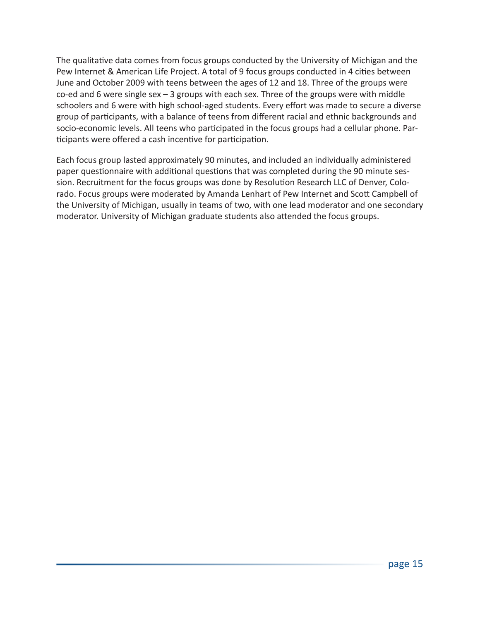The qualitative data comes from focus groups conducted by the University of Michigan and the Pew Internet & American Life Project. A total of 9 focus groups conducted in 4 cities between June and October 2009 with teens between the ages of 12 and 18. Three of the groups were co-ed and 6 were single sex – 3 groups with each sex. Three of the groups were with middle schoolers and 6 were with high school-aged students. Every effort was made to secure a diverse group of participants, with a balance of teens from different racial and ethnic backgrounds and socio-economic levels. All teens who participated in the focus groups had a cellular phone. Participants were offered a cash incentive for participation.

Each focus group lasted approximately 90 minutes, and included an individually administered paper questionnaire with additional questions that was completed during the 90 minute session. Recruitment for the focus groups was done by Resolution Research LLC of Denver, Colorado. Focus groups were moderated by Amanda Lenhart of Pew Internet and Scott Campbell of the University of Michigan, usually in teams of two, with one lead moderator and one secondary moderator. University of Michigan graduate students also attended the focus groups.